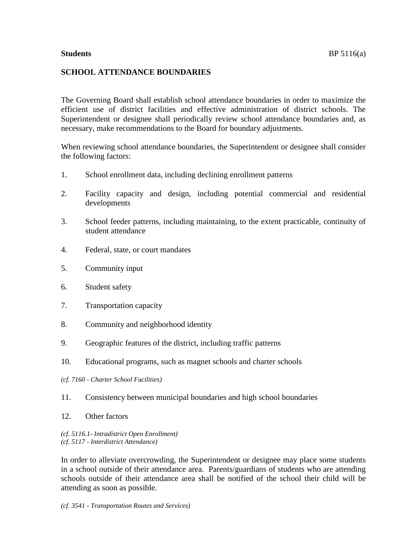## **SCHOOL ATTENDANCE BOUNDARIES**

The Governing Board shall establish school attendance boundaries in order to maximize the efficient use of district facilities and effective administration of district schools. The Superintendent or designee shall periodically review school attendance boundaries and, as necessary, make recommendations to the Board for boundary adjustments.

When reviewing school attendance boundaries, the Superintendent or designee shall consider the following factors:

- 1. School enrollment data, including declining enrollment patterns
- 2. Facility capacity and design, including potential commercial and residential developments
- 3. School feeder patterns, including maintaining, to the extent practicable, continuity of student attendance
- 4. Federal, state, or court mandates
- 5. Community input
- 6. Student safety
- 7. Transportation capacity
- 8. Community and neighborhood identity
- 9. Geographic features of the district, including traffic patterns
- 10. Educational programs, such as magnet schools and charter schools
- *(cf. 7160 - Charter School Facilities)*
- 11. Consistency between municipal boundaries and high school boundaries
- 12. Other factors

*(cf. 5116.1- Intradistrict Open Enrollment) (cf. 5117 - Interdistrict Attendance)*

In order to alleviate overcrowding, the Superintendent or designee may place some students in a school outside of their attendance area. Parents/guardians of students who are attending schools outside of their attendance area shall be notified of the school their child will be attending as soon as possible.